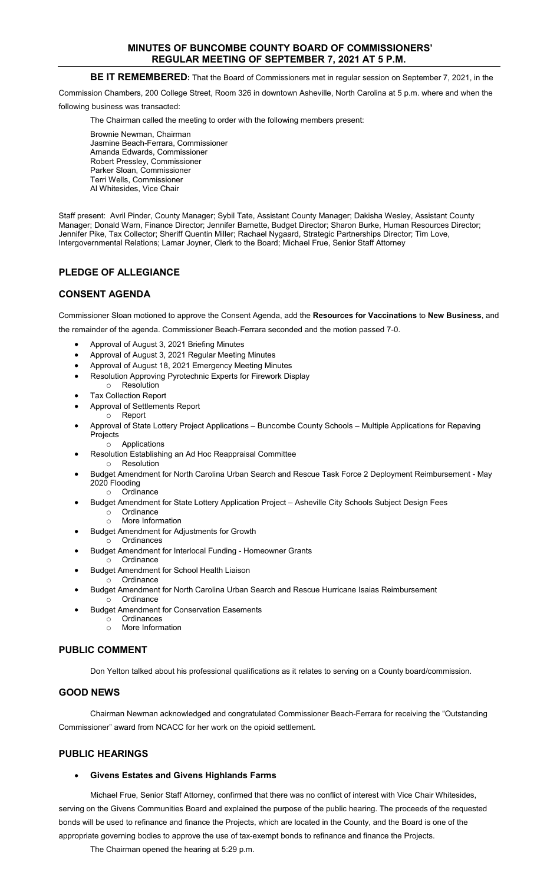# **MINUTES OF BUNCOMBE COUNTY BOARD OF COMMISSIONERS' REGULAR MEETING OF SEPTEMBER 7, 2021 AT 5 P.M.**

# **BE IT REMEMBERED:** That the Board of Commissioners met in regular session on September 7, 2021, in the

Commission Chambers, 200 College Street, Room 326 in downtown Asheville, North Carolina at 5 p.m. where and when the

following business was transacted:

The Chairman called the meeting to order with the following members present:

Brownie Newman, Chairman Jasmine Beach-Ferrara, Commissioner Amanda Edwards, Commissioner Robert Pressley, Commissioner Parker Sloan, Commissioner Terri Wells, Commissioner Al Whitesides, Vice Chair

Staff present: Avril Pinder, County Manager; Sybil Tate, Assistant County Manager; Dakisha Wesley, Assistant County Manager; Donald Warn, Finance Director; Jennifer Barnette, Budget Director; Sharon Burke, Human Resources Director; Jennifer Pike, Tax Collector; Sheriff Quentin Miller; Rachael Nygaard, Strategic Partnerships Director; Tim Love, Intergovernmental Relations; Lamar Joyner, Clerk to the Board; Michael Frue, Senior Staff Attorney

# **PLEDGE OF ALLEGIANCE**

# **CONSENT AGENDA**

Commissioner Sloan motioned to approve the Consent Agenda, add the **Resources for Vaccinations** to **New Business**, and the remainder of the agenda. Commissioner Beach-Ferrara seconded and the motion passed 7-0.

- Approval of August 3, 2021 Briefing Minutes
- Approval of August 3, 2021 Regular Meeting Minutes
- Approval of August 18, 2021 Emergency Meeting Minutes
- Resolution Approving Pyrotechnic Experts for Firework Display
- o Resolution
- **Tax Collection Report**
- Approval of Settlements Report
- o Report
- Approval of State Lottery Project Applications Buncombe County Schools Multiple Applications for Repaving Projects
	- o Applications
- Resolution Establishing an Ad Hoc Reappraisal Committee o Resolution
- Budget Amendment for North Carolina Urban Search and Rescue Task Force 2 Deployment Reimbursement May 2020 Flooding
	- o Ordinance
- Budget Amendment for State Lottery Application Project Asheville City Schools Subject Design Fees o Ordinance<br>o More Inform More Information
	- Budget Amendment for Adjustments for Growth
		- o Ordinances
- Budget Amendment for Interlocal Funding Homeowner Grants
- o Ordinance
- Budget Amendment for School Health Liaison o Ordinance
- Budget Amendment for North Carolina Urban Search and Rescue Hurricane Isaias Reimbursement o Ordinance
- Budget Amendment for Conservation Easements
	- o Ordinances
		- o More Information

## **PUBLIC COMMENT**

Don Yelton talked about his professional qualifications as it relates to serving on a County board/commission.

# **GOOD NEWS**

Chairman Newman acknowledged and congratulated Commissioner Beach-Ferrara for receiving the "Outstanding Commissioner" award from NCACC for her work on the opioid settlement.

## **PUBLIC HEARINGS**

## • **Givens Estates and Givens Highlands Farms**

Michael Frue, Senior Staff Attorney, confirmed that there was no conflict of interest with Vice Chair Whitesides, serving on the Givens Communities Board and explained the purpose of the public hearing. The proceeds of the requested bonds will be used to refinance and finance the Projects, which are located in the County, and the Board is one of the appropriate governing bodies to approve the use of tax-exempt bonds to refinance and finance the Projects.

The Chairman opened the hearing at 5:29 p.m.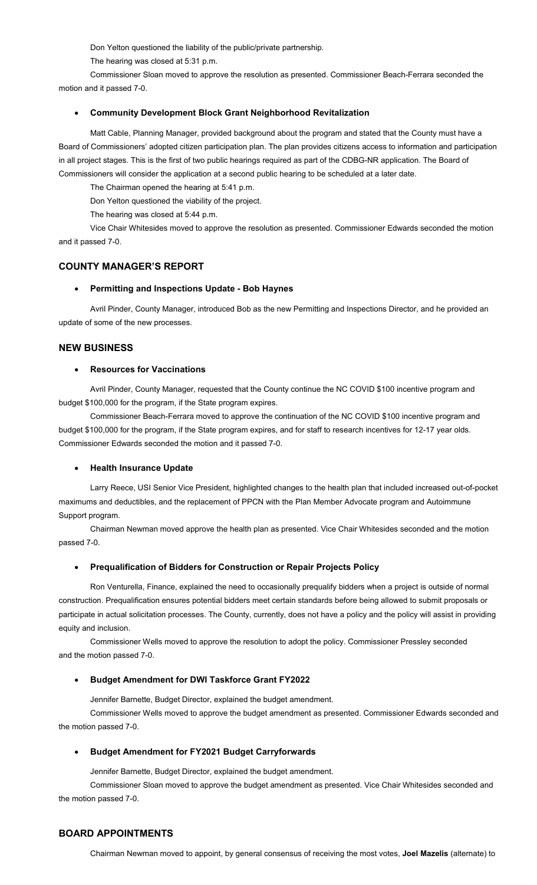Don Yelton questioned the liability of the public/private partnership.

The hearing was closed at 5:31 p.m.

Commissioner Sloan moved to approve the resolution as presented. Commissioner Beach-Ferrara seconded the motion and it passed 7-0.

### • **Community Development Block Grant Neighborhood Revitalization**

Matt Cable, Planning Manager, provided background about the program and stated that the County must have a Board of Commissioners' adopted citizen participation plan. The plan provides citizens access to information and participation in all project stages. This is the first of two public hearings required as part of the CDBG-NR application. The Board of Commissioners will consider the application at a second public hearing to be scheduled at a later date.

The Chairman opened the hearing at 5:41 p.m.

Don Yelton questioned the viability of the project.

The hearing was closed at 5:44 p.m.

Vice Chair Whitesides moved to approve the resolution as presented. Commissioner Edwards seconded the motion and it passed 7-0.

### **COUNTY MANAGER'S REPORT**

#### • **Permitting and Inspections Update - Bob Haynes**

Avril Pinder, County Manager, introduced Bob as the new Permitting and Inspections Director, and he provided an update of some of the new processes.

#### **NEW BUSINESS**

#### • **Resources for Vaccinations**

Avril Pinder, County Manager, requested that the County continue the NC COVID \$100 incentive program and budget \$100,000 for the program, if the State program expires.

Commissioner Beach-Ferrara moved to approve the continuation of the NC COVID \$100 incentive program and budget \$100,000 for the program, if the State program expires, and for staff to research incentives for 12-17 year olds. Commissioner Edwards seconded the motion and it passed 7-0.

#### • **Health Insurance Update**

Larry Reece, USI Senior Vice President, highlighted changes to the health plan that included increased out-of-pocket maximums and deductibles, and the replacement of PPCN with the Plan Member Advocate program and Autoimmune Support program.

Chairman Newman moved approve the health plan as presented. Vice Chair Whitesides seconded and the motion passed 7-0.

### • **Prequalification of Bidders for Construction or Repair Projects Policy**

Ron Venturella, Finance, explained the need to occasionally prequalify bidders when a project is outside of normal construction. Prequalification ensures potential bidders meet certain standards before being allowed to submit proposals or participate in actual solicitation processes. The County, currently, does not have a policy and the policy will assist in providing equity and inclusion.

Commissioner Wells moved to approve the resolution to adopt the policy. Commissioner Pressley seconded and the motion passed 7-0.

#### • **Budget Amendment for DWI Taskforce Grant FY2022**

Jennifer Barnette, Budget Director, explained the budget amendment.

Commissioner Wells moved to approve the budget amendment as presented. Commissioner Edwards seconded and the motion passed 7-0.

#### • **Budget Amendment for FY2021 Budget Carryforwards**

Jennifer Barnette, Budget Director, explained the budget amendment.

Commissioner Sloan moved to approve the budget amendment as presented. Vice Chair Whitesides seconded and the motion passed 7-0.

# **BOARD APPOINTMENTS**

Chairman Newman moved to appoint, by general consensus of receiving the most votes, **Joel Mazelis** (alternate) to